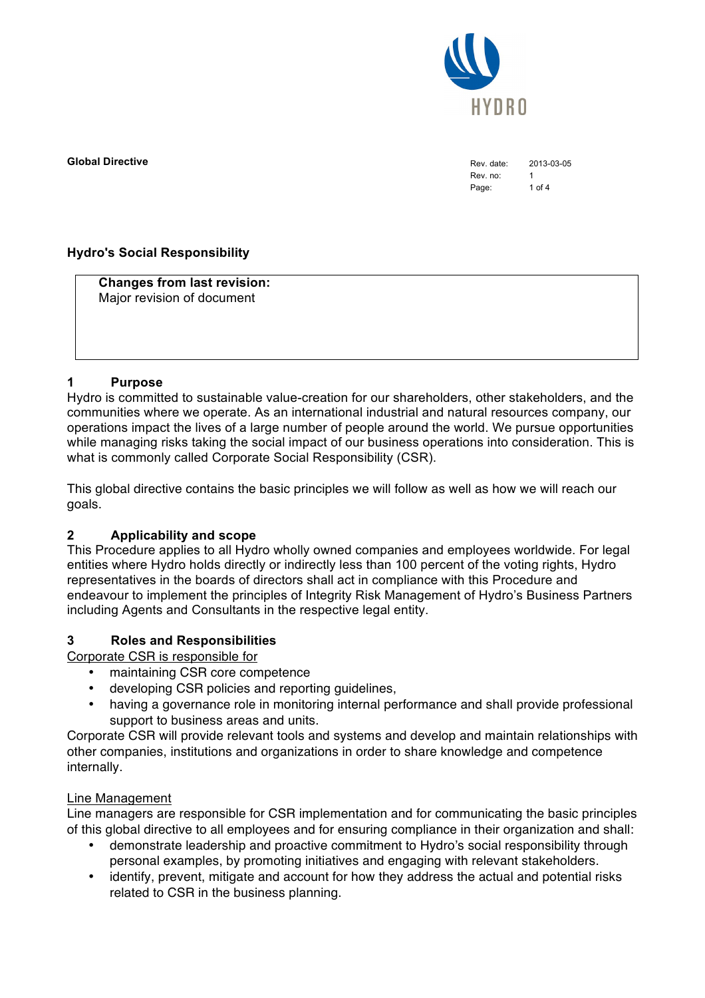

**Global Directive** 2013-03-05

Rev. no: 1 Page: 1 of 4

### **Hydro's Social Responsibility**

**Changes from last revision:** Major revision of document

#### **1 Purpose**

Hydro is committed to sustainable value-creation for our shareholders, other stakeholders, and the communities where we operate. As an international industrial and natural resources company, our operations impact the lives of a large number of people around the world. We pursue opportunities while managing risks taking the social impact of our business operations into consideration. This is what is commonly called Corporate Social Responsibility (CSR).

This global directive contains the basic principles we will follow as well as how we will reach our goals.

#### **2 Applicability and scope**

This Procedure applies to all Hydro wholly owned companies and employees worldwide. For legal entities where Hydro holds directly or indirectly less than 100 percent of the voting rights, Hydro representatives in the boards of directors shall act in compliance with this Procedure and endeavour to implement the principles of Integrity Risk Management of Hydro's Business Partners including Agents and Consultants in the respective legal entity.

#### **3 Roles and Responsibilities**

Corporate CSR is responsible for

- maintaining CSR core competence
- developing CSR policies and reporting guidelines,
- having a governance role in monitoring internal performance and shall provide professional support to business areas and units.

Corporate CSR will provide relevant tools and systems and develop and maintain relationships with other companies, institutions and organizations in order to share knowledge and competence internally.

#### Line Management

Line managers are responsible for CSR implementation and for communicating the basic principles of this global directive to all employees and for ensuring compliance in their organization and shall:

- demonstrate leadership and proactive commitment to Hydro's social responsibility through personal examples, by promoting initiatives and engaging with relevant stakeholders.
- identify, prevent, mitigate and account for how they address the actual and potential risks related to CSR in the business planning.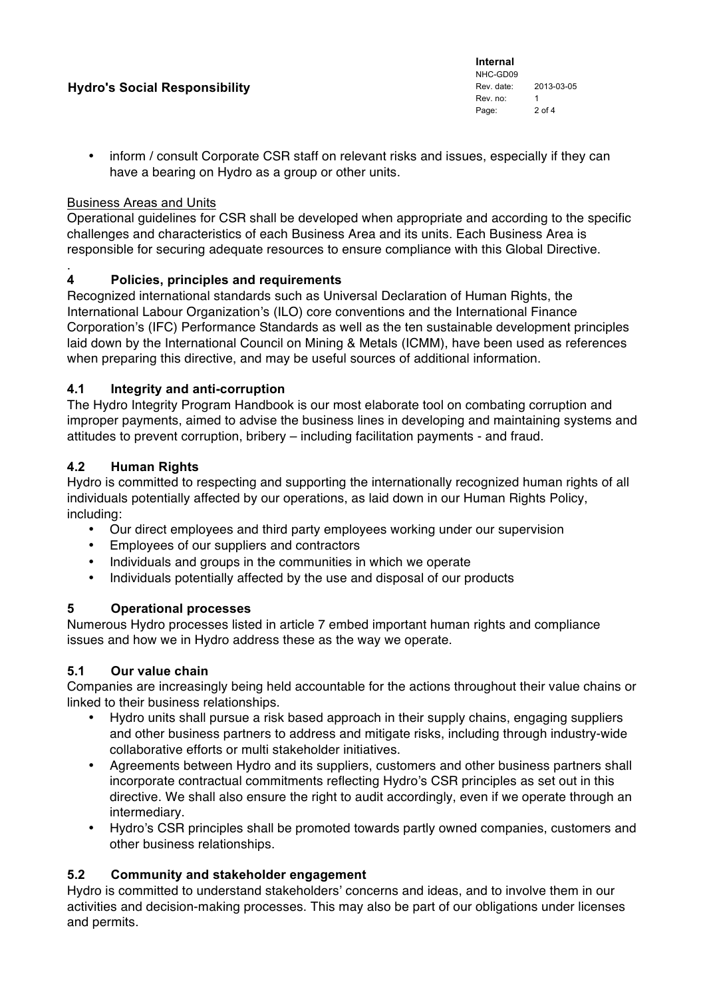### **Hydro's Social Responsibility**

**Internal** NHC-GD09 Rev. date: 2013-03-05 Rev. no: 1 Page: 2 of 4

• inform / consult Corporate CSR staff on relevant risks and issues, especially if they can have a bearing on Hydro as a group or other units.

#### Business Areas and Units

Operational guidelines for CSR shall be developed when appropriate and according to the specific challenges and characteristics of each Business Area and its units. Each Business Area is responsible for securing adequate resources to ensure compliance with this Global Directive.

#### . **4 Policies, principles and requirements**

Recognized international standards such as Universal Declaration of Human Rights, the International Labour Organization's (ILO) core conventions and the International Finance Corporation's (IFC) Performance Standards as well as the ten sustainable development principles laid down by the International Council on Mining & Metals (ICMM), have been used as references when preparing this directive, and may be useful sources of additional information.

### **4.1 Integrity and anti-corruption**

The Hydro Integrity Program Handbook is our most elaborate tool on combating corruption and improper payments, aimed to advise the business lines in developing and maintaining systems and attitudes to prevent corruption, bribery – including facilitation payments - and fraud.

### **4.2 Human Rights**

Hydro is committed to respecting and supporting the internationally recognized human rights of all individuals potentially affected by our operations, as laid down in our Human Rights Policy, including:

- Our direct employees and third party employees working under our supervision
- Employees of our suppliers and contractors
- Individuals and groups in the communities in which we operate
- Individuals potentially affected by the use and disposal of our products

#### **5 Operational processes**

Numerous Hydro processes listed in article 7 embed important human rights and compliance issues and how we in Hydro address these as the way we operate.

#### **5.1 Our value chain**

Companies are increasingly being held accountable for the actions throughout their value chains or linked to their business relationships.

- Hydro units shall pursue a risk based approach in their supply chains, engaging suppliers and other business partners to address and mitigate risks, including through industry-wide collaborative efforts or multi stakeholder initiatives.
- Agreements between Hydro and its suppliers, customers and other business partners shall incorporate contractual commitments reflecting Hydro's CSR principles as set out in this directive. We shall also ensure the right to audit accordingly, even if we operate through an intermediary.
- Hydro's CSR principles shall be promoted towards partly owned companies, customers and other business relationships.

## **5.2 Community and stakeholder engagement**

Hydro is committed to understand stakeholders' concerns and ideas, and to involve them in our activities and decision-making processes. This may also be part of our obligations under licenses and permits.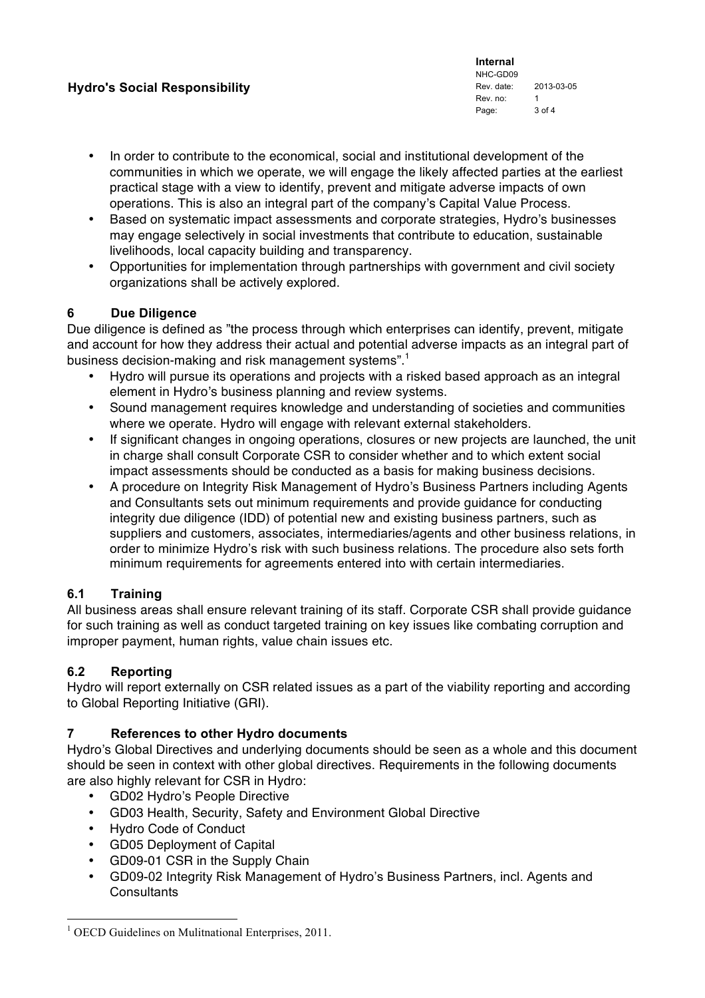### **Hydro's Social Responsibility**

**Internal** NHC-GD09 Rev. date: 2013-03-05 Rev. no: 1 Page: 3 of 4

- In order to contribute to the economical, social and institutional development of the communities in which we operate, we will engage the likely affected parties at the earliest practical stage with a view to identify, prevent and mitigate adverse impacts of own operations. This is also an integral part of the company's Capital Value Process.
- Based on systematic impact assessments and corporate strategies, Hydro's businesses may engage selectively in social investments that contribute to education, sustainable livelihoods, local capacity building and transparency.
- Opportunities for implementation through partnerships with government and civil society organizations shall be actively explored.

### **6 Due Diligence**

Due diligence is defined as "the process through which enterprises can identify, prevent, mitigate and account for how they address their actual and potential adverse impacts as an integral part of business decision-making and risk management systems".<sup>1</sup>

- Hydro will pursue its operations and projects with a risked based approach as an integral element in Hydro's business planning and review systems.
- Sound management requires knowledge and understanding of societies and communities where we operate. Hydro will engage with relevant external stakeholders.
- If significant changes in ongoing operations, closures or new projects are launched, the unit in charge shall consult Corporate CSR to consider whether and to which extent social impact assessments should be conducted as a basis for making business decisions.
- A procedure on Integrity Risk Management of Hydro's Business Partners including Agents and Consultants sets out minimum requirements and provide guidance for conducting integrity due diligence (IDD) of potential new and existing business partners, such as suppliers and customers, associates, intermediaries/agents and other business relations, in order to minimize Hydro's risk with such business relations. The procedure also sets forth minimum requirements for agreements entered into with certain intermediaries.

## **6.1 Training**

All business areas shall ensure relevant training of its staff. Corporate CSR shall provide guidance for such training as well as conduct targeted training on key issues like combating corruption and improper payment, human rights, value chain issues etc.

## **6.2 Reporting**

Hydro will report externally on CSR related issues as a part of the viability reporting and according to Global Reporting Initiative (GRI).

## **7 References to other Hydro documents**

Hydro's Global Directives and underlying documents should be seen as a whole and this document should be seen in context with other global directives. Requirements in the following documents are also highly relevant for CSR in Hydro:

- GD02 Hydro's People Directive
- GD03 Health, Security, Safety and Environment Global Directive
- Hydro Code of Conduct
- GD05 Deployment of Capital
- GD09-01 CSR in the Supply Chain
- GD09-02 Integrity Risk Management of Hydro's Business Partners, incl. Agents and **Consultants**

<sup>&</sup>lt;sup>1</sup> OECD Guidelines on Mulitnational Enterprises, 2011.